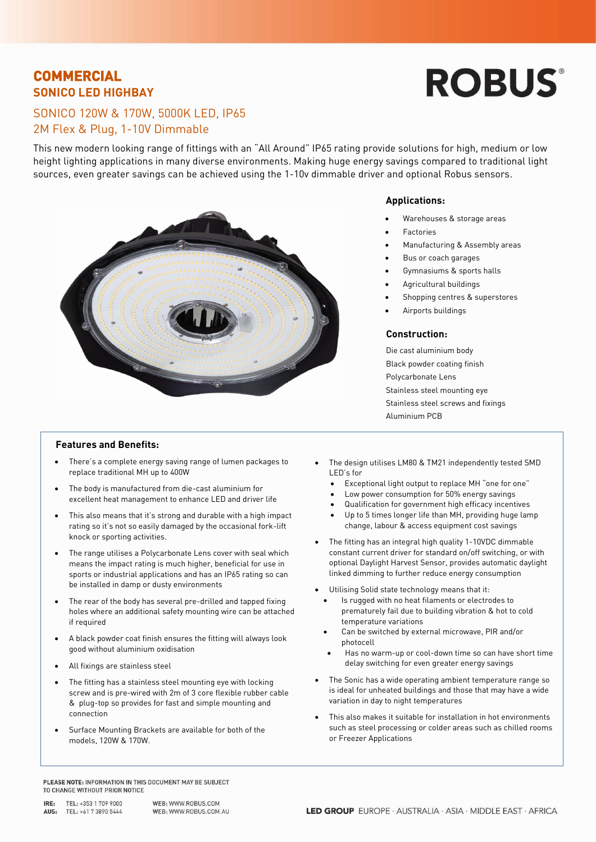## **COMMERCIAL SONICO LED HIGHBAY**

# **ROBUS®**

## SONICO 120W & 170W, 5000K LED, IP65 2M Flex & Plug, 1-10V Dimmable

This new modern looking range of fittings with an "All Around" IP65 rating provide solutions for high, medium or low height lighting applications in many diverse environments. Making huge energy savings compared to traditional light sources, even greater savings can be achieved using the 1-10v dimmable driver and optional Robus sensors.



### **Applications:**

- Warehouses & storage areas
- **Factories**
- Manufacturing & Assembly areas
- Bus or coach garages
- Gymnasiums & sports halls
- Agricultural buildings
- Shopping centres & superstores
- Airports buildings

### **Construction:**

Die cast aluminium body Black powder coating finish Polycarbonate Lens Stainless steel mounting eye Stainless steel screws and fixings Aluminium PCB

### **Features and Benefits:**

- There's a complete energy saving range of lumen packages to replace traditional MH up to 400W
- The body is manufactured from die-cast aluminium for excellent heat management to enhance LED and driver life
- This also means that it's strong and durable with a high impact rating so it's not so easily damaged by the occasional fork-lift knock or sporting activities.
- The range utilises a Polycarbonate Lens cover with seal which means the impact rating is much higher, beneficial for use in sports or industrial applications and has an IP65 rating so can be installed in damp or dusty environments
- The rear of the body has several pre-drilled and tapped fixing holes where an additional safety mounting wire can be attached if required
- A black powder coat finish ensures the fitting will always look good without aluminium oxidisation
- All fixings are stainless steel
- The fitting has a stainless steel mounting eye with locking screw and is pre-wired with 2m of 3 core flexible rubber cable & plug-top so provides for fast and simple mounting and connection
- Surface Mounting Brackets are available for both of the models, 120W & 170W.
- The design utilises LM80 & TM21 independently tested SMD LED's for
	- Exceptional light output to replace MH "one for one"
	- Low power consumption for 50% energy savings
	- Qualification for government high efficacy incentives
	- Up to 5 times longer life than MH, providing huge lamp change, labour & access equipment cost savings
- The fitting has an integral high quality 1-10VDC dimmable constant current driver for standard on/off switching, or with optional Daylight Harvest Sensor, provides automatic daylight linked dimming to further reduce energy consumption
- Utilising Solid state technology means that it:
	- Is rugged with no heat filaments or electrodes to prematurely fail due to building vibration & hot to cold temperature variations
	- Can be switched by external microwave, PIR and/or photocell
	- Has no warm-up or cool-down time so can have short time delay switching for even greater energy savings
- The Sonic has a wide operating ambient temperature range so is ideal for unheated buildings and those that may have a wide variation in day to night temperatures
- This also makes it suitable for installation in hot environments such as steel processing or colder areas such as chilled rooms or Freezer Applications

PLEASE NOTE: INFORMATION IN THIS DOCUMENT MAY BE SUBJECT TO CHANGE WITHOUT PRIOR NOTICE